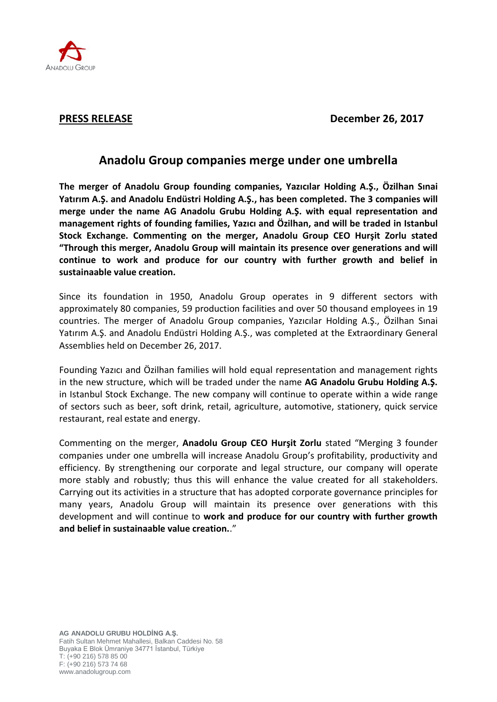

**PRESS RELEASE December 26, 2017**

## **Anadolu Group companies merge under one umbrella**

**The merger of Anadolu Group founding companies, Yazıcılar Holding A.Ş., Özilhan Sınai Yatırım A.Ş. and Anadolu Endüstri Holding A.Ş., has been completed. The 3 companies will merge under the name AG Anadolu Grubu Holding A.Ş. with equal representation and management rights of founding families, Yazıcı and Özilhan, and will be traded in Istanbul Stock Exchange. Commenting on the merger, Anadolu Group CEO Hurşit Zorlu stated "Through this merger, Anadolu Group will maintain its presence over generations and will continue to work and produce for our country with further growth and belief in sustainaable value creation.** 

Since its foundation in 1950, Anadolu Group operates in 9 different sectors with approximately 80 companies, 59 production facilities and over 50 thousand employees in 19 countries. The merger of Anadolu Group companies, Yazıcılar Holding A.Ş., Özilhan Sınai Yatırım A.Ş. and Anadolu Endüstri Holding A.Ş., was completed at the Extraordinary General Assemblies held on December 26, 2017.

Founding Yazıcı and Özilhan families will hold equal representation and management rights in the new structure, which will be traded under the name **AG Anadolu Grubu Holding A.Ş.** in Istanbul Stock Exchange. The new company will continue to operate within a wide range of sectors such as beer, soft drink, retail, agriculture, automotive, stationery, quick service restaurant, real estate and energy.

Commenting on the merger, **Anadolu Group CEO Hurşit Zorlu** stated "Merging 3 founder companies under one umbrella will increase Anadolu Group's profitability, productivity and efficiency. By strengthening our corporate and legal structure, our company will operate more stably and robustly; thus this will enhance the value created for all stakeholders. Carrying out its activities in a structure that has adopted corporate governance principles for many years, Anadolu Group will maintain its presence over generations with this development and will continue to **work and produce for our country with further growth and belief in sustainaable value creation.**."